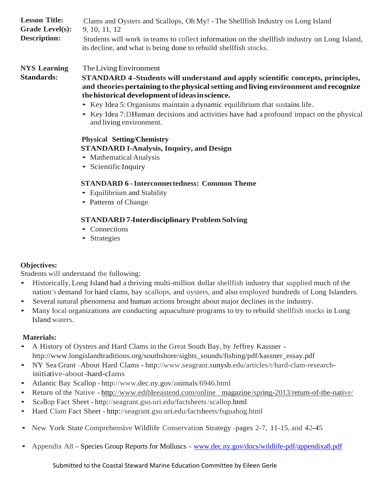| <b>Lesson Title:</b>   | Clams and Oysters and Scallops, Oh My! - The Shellfish Industry on Long Island                                                                                     |
|------------------------|--------------------------------------------------------------------------------------------------------------------------------------------------------------------|
| <b>Grade Level(s):</b> | 9, 10, 11, 12                                                                                                                                                      |
| <b>Description:</b>    | Students will work in teams to collect information on the shell fish industry on Long Island,<br>its decline, and what is being done to rebuild shell fish stocks. |

**NYS Learning** TheLiving Environment

**Standards:**

**STANDARD 4 -Students will understand and apply scientific concepts, principles, and theories pertaining to the physicalsetting and living environment and recognize thehistorical developmentofideasinscience.**

- Key Idea 5: Organisms maintain <sup>a</sup> dynamic equilibrium that sustains life.
- Key Idea 7:DHuman decisions and activities have had <sup>a</sup> profound impact on the physical and living environment.

## **Physical Setting/Chemistry STANDARD I-Analysis, Inquiry, and Design**

- Mathematical Analysis
- Scientific Inquiry

## **STANDARD 6 -Interconnectedness: Common Theme**

- Equilibrium and Stability
- Patterns of Change

# **STANDARD 7-Interdisciplinary Problem Solving**

- Connections
- Strategies

### **Objectives:**

Students will understand the following:

- Historically,Long Island had <sup>a</sup> thriving multi-million dollar shellfish industry that supplied much of the nation's demand for hard clams, bay scallops, and oysters, and also employed hundreds of Long Islanders.
- Several natural phenomena and human actions brought about major declines in the industry.
- Many local organizations are conducting aquaculture programs to try to rebuild shellfish stocks in Long Island waters.

# **Materials:**

- <sup>A</sup> History of Oysters and Hard Clams in the Great South Bay, by Jeffrey Kassner [http://www.longislandtraditions.org/southshore/sights\\_sounds/fishin](http://www.longislandtraditions.org/southshore/sights_sounds/fishi)g/pdf/kassner\_essay.pdf
- NY Sea Grant -About Hard Clams [http://www.s](http://www/)eagrant.sunysb.edu/articles/t/hard-clam-researchinitiative-about-hard-clams
- Atlantic Bay Scallop <http://www.dec.ny.gov/animals/6946.html>
- Return of the Native <http://www.edibleeastend.com/online>magazine/spring-2013/retum-of-the-native/
- Scallop Fact Sheet [http://seagrant.gso.uri.edu/factsheets/](http://seagrant.gso.uri.edu/factsheets)scallop.html
- Hard Clam Fact Sheet <http://seagrant.gso.uri.edu/factsheets/fsguahog.html>
- New York State Comprehensive Wildlife Conservation Strategy -pages 2-7, 11-15, and 42-45
- Appendix A8 Species Group Reports for Molluscs [www.dec.ny.gov/docs/wildlife-pdf/appendixa8.pdf](http://www.dec.ny.gov/docs/wildlife-pdf/appendixa8.pdf)

Submitted to the Coastal Steward Marine Education Committee by Eileen Gerle